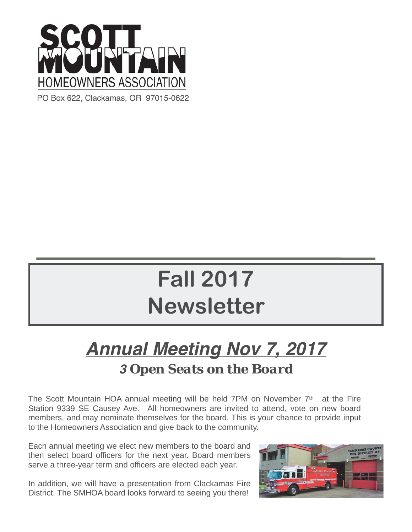

PO Box 622, Clackamas, OR 97015-0622

# **Fall 2017 Newsletter**

## *Annual Meeting Nov 7, 2017 3 Open Seats on the Board*

The Scott Mountain HOA annual meeting will be held 7PM on November  $7<sup>th</sup>$  at the Fire Station 9339 SE Causey Ave. All homeowners are invited to attend, vote on new board members, and may nominate themselves for the board. This is your chance to provide input to the Homeowners Association and give back to the community.

Each annual meeting we elect new members to the board and then select board officers for the next year. Board members serve a three-year term and officers are elected each year.

In addition, we will have a presentation from Clackamas Fire District. The SMHOA board looks forward to seeing you there!

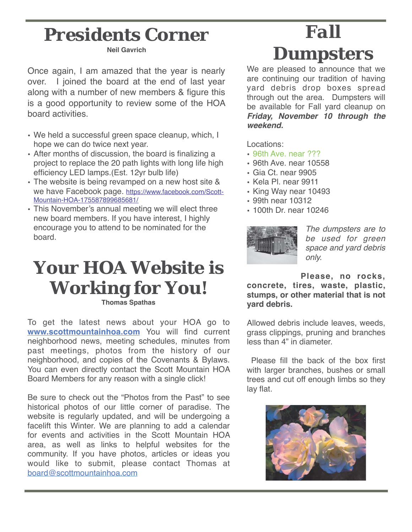# *Presidents Corner*

**Neil Gavrich**

Once again, I am amazed that the year is nearly over. I joined the board at the end of last year along with a number of new members & figure this is a good opportunity to review some of the HOA board activities.

- We held a successful green space cleanup, which, I hope we can do twice next year.
- After months of discussion, the board is finalizing a project to replace the 20 path lights with long life high efficiency LED lamps.(Est. 12yr bulb life)
- The website is being revamped on a new host site & we have Facebook page. https://www.facebook.com/Scott-Mountain-HOA-175587899685681/
- This November's annual meeting we will elect three new board members. If you have interest, I highly encourage you to attend to be nominated for the board.

### **Your HOA Website is Working for You! Thomas Spathas**

To get the latest news about your HOA go to **www.scottmountainhoa.com** You will find current neighborhood news, meeting schedules, minutes from past meetings, photos from the history of our neighborhood, and copies of the Covenants & Bylaws. You can even directly contact the Scott Mountain HOA Board Members for any reason with a single click!

Be sure to check out the "Photos from the Past" to see historical photos of our little corner of paradise. The website is regularly updated, and will be undergoing a facelift this Winter. We are planning to add a calendar for events and activities in the Scott Mountain HOA area, as well as links to helpful websites for the community. If you have photos, articles or ideas you would like to submit, please contact Thomas at board@scottmountainhoa.com

# *Fall Dumpsters*

We are pleased to announce that we are continuing our tradition of having yard debris drop boxes spread through out the area. Dumpsters will be available for Fall yard cleanup on *Friday, November 10 through the weekend.*

Locations:

- 96th Ave. near ???
- 96th Ave. near 10558
- Gia Ct. near 9905
- Kela Pl. near 9911
- King Way near 10493
- 99th near 10312
- 100th Dr. near 10246



*The dumpsters are to be used for green space and yard debris only.* 

**Please, no rocks, concrete, tires, waste, plastic, stumps, or other material that is not yard debris.** 

Allowed debris include leaves, weeds, grass clippings, pruning and branches less than 4" in diameter.

 Please fill the back of the box first with larger branches, bushes or small trees and cut off enough limbs so they lay flat.

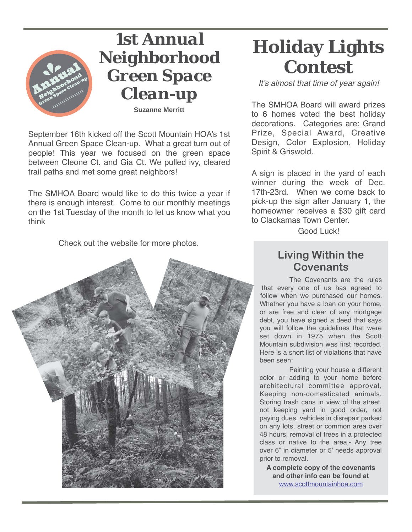

*1st Annual Neighborhood Green Space Clean-up* 

**Suzanne Merritt**

September 16th kicked off the Scott Mountain HOA's 1st Annual Green Space Clean-up. What a great turn out of people! This year we focused on the green space between Cleone Ct. and Gia Ct. We pulled ivy, cleared trail paths and met some great neighbors!

The SMHOA Board would like to do this twice a year if there is enough interest. Come to our monthly meetings on the 1st Tuesday of the month to let us know what you think

Check out the website for more photos.



## **Holiday Lights Contest**

*It's almost that time of year again!*

The SMHOA Board will award prizes to 6 homes voted the best holiday decorations. Categories are: Grand Prize, Special Award, Creative Design, Color Explosion, Holiday Spirit & Griswold.

A sign is placed in the yard of each winner during the week of Dec. 17th-23rd. When we come back to pick-up the sign after January 1, the homeowner receives a \$30 gift card to Clackamas Town Center.

Good Luck!

### **Living Within the Covenants**

The Covenants are the rules that every one of us has agreed to follow when we purchased our homes. Whether you have a loan on your home, or are free and clear of any mortgage debt, you have signed a deed that says you will follow the guidelines that were set down in 1975 when the Scott Mountain subdivision was first recorded. Here is a short list of violations that have been seen:

Painting your house a different color or adding to your home before architectural committee approval, Keeping non-domesticated animals, Storing trash cans in view of the street, not keeping yard in good order, not paying dues, vehicles in disrepair parked on any lots, street or common area over 48 hours, removal of trees in a protected class or native to the area,- Any tree over 6" in diameter or 5' needs approval prior to removal.

**A complete copy of the covenants and other info can be found at**  www.scottmountainhoa.com